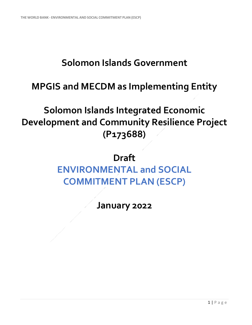## **Solomon Islands Government**

### **MPGIS and MECDM as Implementing Entity**

# **Solomon Islands Integrated Economic Development and Community Resilience Project (P173688)**

# **Draft ENVIRONMENTAL and SOCIAL COMMITMENT PLAN (ESCP)**

**January 2022**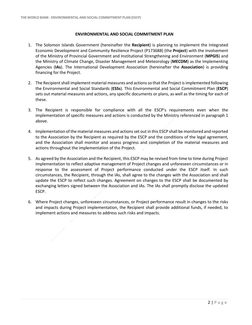#### **ENVIRONMENTAL AND SOCIAL COMMITMENT PLAN**

- 1. The Solomon Islands Government (hereinafter the **Recipient**) is planning to implement the Integrated Economic Development and Community Resilience Project (P173688) (the **Project**) with the involvement of the Ministry of Provincial Government and Institutional Strengthening and Environment (**MPGIS**) and the Ministry of Climate Change, Disaster Management and Meteorology (**MECDM**) as the Implementing Agencies (**IAs**). The International Development Association (hereinafter the **Association**) is providing financing for the Project.
- 2. The Recipient shall implement material measures and actions so that the Project is implemented following the Environmental and Social Standards (**ESSs**). This Environmental and Social Commitment Plan (**ESCP**) sets out material measures and actions, any specific documents or plans, as well as the timing for each of these.
- 3. The Recipient is responsible for compliance with all the ESCP's requirements even when the implementation of specific measures and actions is conducted by the Ministry referenced in paragraph 1 above.
- 4. Implementation of the material measures and actions set out in this ESCP shall be monitored and reported to the Association by the Recipient as required by the ESCP and the conditions of the legal agreement, and the Association shall monitor and assess progress and completion of the material measures and actions throughout the implementation of the Project.
- 5. As agreed by the Association and the Recipient, this ESCP may be revised from time to time during Project implementation to reflect adaptive management of Project changes and unforeseen circumstances or in response to the assessment of Project performance conducted under the ESCP itself. In such circumstances, the Recipient, through the IAs, shall agree to the changes with the Association and shall update the ESCP to reflect such changes. Agreement on changes to the ESCP shall be documented by exchanging letters signed between the Association and IAs. The IAs shall promptly disclose the updated ESCP.
- 6. Where Project changes, unforeseen circumstances, or Project performance result in changes to the risks and impacts during Project implementation, the Recipient shall provide additional funds, if needed, to implement actions and measures to address such risks and impacts.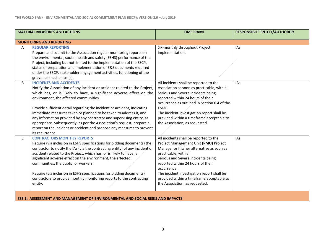| <b>MATERIAL MEASURES AND ACTIONS</b> |                                                                                                                                                                                                                                                                                                                                                                                                                                                                                                                                                                                                                                  | <b>TIMEFRAME</b>                                                                                                                                                                                                                                                                                                                                                             | <b>RESPONSIBILE ENTITY/AUTHORITY</b> |
|--------------------------------------|----------------------------------------------------------------------------------------------------------------------------------------------------------------------------------------------------------------------------------------------------------------------------------------------------------------------------------------------------------------------------------------------------------------------------------------------------------------------------------------------------------------------------------------------------------------------------------------------------------------------------------|------------------------------------------------------------------------------------------------------------------------------------------------------------------------------------------------------------------------------------------------------------------------------------------------------------------------------------------------------------------------------|--------------------------------------|
|                                      | <b>MONITORING AND REPORTING</b>                                                                                                                                                                                                                                                                                                                                                                                                                                                                                                                                                                                                  |                                                                                                                                                                                                                                                                                                                                                                              |                                      |
| Α                                    | <b>REGULAR REPORTING</b><br>Prepare and submit to the Association regular monitoring reports on<br>the environmental, social, health and safety (ESHS) performance of the<br>Project, including but not limited to the implementation of the ESCP,<br>status of preparation and implementation of E&S documents required<br>under the ESCP, stakeholder engagement activities, functioning of the<br>grievance mechanism(s).                                                                                                                                                                                                     | Six-monthly throughout Project<br>implementation.                                                                                                                                                                                                                                                                                                                            | IAs                                  |
| B                                    | <b>INCIDENTS AND ACCIDENTS</b><br>Notify the Association of any incident or accident related to the Project,<br>which has, or is likely to have, a significant adverse effect on the<br>environment, the affected communities.<br>Provide sufficient detail regarding the incident or accident, indicating<br>immediate measures taken or planned to be taken to address it, and<br>any information provided by any contractor and supervising entity, as<br>appropriate. Subsequently, as per the Association's request, prepare a<br>report on the incident or accident and propose any measures to prevent<br>its recurrence. | All incidents shall be reported to the<br>Association as soon as practicable, with all<br>Serious and Severe incidents being<br>reported within 24 hours of their<br>occurrence as outlined in Section 6.4 of the<br>ESMF.<br>The incident investigation report shall be<br>provided within a timeframe acceptable to<br>the Association, as requested.                      | IAs                                  |
| $\mathsf{C}$                         | <b>CONTRACTORS MONTHLY REPORTS</b><br>Require (via inclusion in ESHS specifications for bidding documents) the<br>contractor to notify the IAs (via the contracting entity) of any incident or<br>accident related to the Project, which has, or is likely to have, a<br>significant adverse effect on the environment, the affected<br>communities, the public, or workers.<br>Require (via inclusion in ESHS specifications for bidding documents)<br>contractors to provide monthly monitoring reports to the contracting<br>entity.                                                                                          | All incidents shall be reported to the<br>Project Management Unit (PMU) Project<br>Manager or his/her alternative as soon as<br>practicable, with all<br>Serious and Severe incidents being<br>reported within 24 hours of their<br>occurrence.<br>The incident investigation report shall be<br>provided within a timeframe acceptable to<br>the Association, as requested. | <b>IAs</b>                           |
|                                      | ESS 1: ASSESSMENT AND MANAGEMENT OF ENVIRONMENTAL AND SOCIAL RISKS AND IMPACTS                                                                                                                                                                                                                                                                                                                                                                                                                                                                                                                                                   |                                                                                                                                                                                                                                                                                                                                                                              |                                      |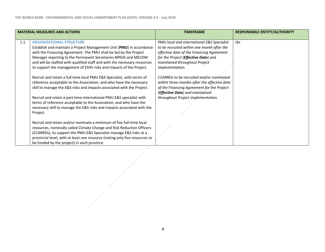| <b>MATERIAL MEASURES AND ACTIONS</b> |                                                                                                                                                                                                                                                                                                                                                                                                                                                                              | <b>TIMEFRAME</b>                                                                                                                                                                                                                                                                              | <b>RESPONSIBILE ENTITY/AUTHORITY</b> |
|--------------------------------------|------------------------------------------------------------------------------------------------------------------------------------------------------------------------------------------------------------------------------------------------------------------------------------------------------------------------------------------------------------------------------------------------------------------------------------------------------------------------------|-----------------------------------------------------------------------------------------------------------------------------------------------------------------------------------------------------------------------------------------------------------------------------------------------|--------------------------------------|
| 1.1                                  | <b>ORGANIZATIONAL STRUCTURE</b><br>Establish and maintain a Project Management Unit (PMU) in accordance<br>with the Financing Agreement. The PMU shall be led by the Project<br>Manager reporting to the Permanent Secretaries MPGIS and MECDM<br>and will be staffed with qualified staff and with the necessary resources<br>to support the management of ESHS risks and impacts of the Project.<br>Recruit and retain a full-time local PMU E&S Specialist, with terms of | PMU local and international E&S Specialist<br>to be recruited within one month after the<br>effective date of the Financing Agreement<br>for the Project ( <b>Effective Date</b> ) and<br>maintained throughout Project<br><i>implementation.</i><br>CCARROs to be recruited and/or nominated | <b>IAs</b>                           |
|                                      | reference acceptable to the Association, and who have the necessary<br>skill to manage the E&S risks and impacts associated with the Project.                                                                                                                                                                                                                                                                                                                                | within three months after the effective date<br>of the Financing Agreement for the Project<br>(Effective Date) and maintained                                                                                                                                                                 |                                      |
|                                      | Recruit and retain a part-time international PMU E&S specialist with<br>terms of reference acceptable to the Association, and who have the<br>necessary skill to manage the E&S risks and impacts associated with the<br>Project.                                                                                                                                                                                                                                            | throughout Project implementation.                                                                                                                                                                                                                                                            |                                      |
|                                      | Recruit and retain and/or nominate a minimum of five full-time local<br>resources, nominally called Climate Change and Risk Reduction Officers<br>(CCARROs), to support the PMU E&S Specialist manage E&S risks at a<br>provincial level, with at least one resource (noting only five resources to<br>be funded by the project) in each province.                                                                                                                           |                                                                                                                                                                                                                                                                                               |                                      |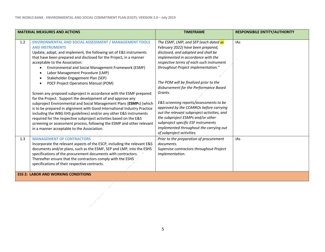1

| <b>MATERIAL MEASURES AND ACTIONS</b>                                                                                                                                                                                                                                                                                                                                                                                                                                                                                                                                                                                                                                                                                                                                                                                                                                                                                                                                                                                                                                   |  | <b>TIMEFRAME</b>                                                                                                                                                                                                                                                                                                                                                                                                                                                                                                                                                                                                                    | <b>RESPONSIBILE ENTITY/AUTHORITY</b> |
|------------------------------------------------------------------------------------------------------------------------------------------------------------------------------------------------------------------------------------------------------------------------------------------------------------------------------------------------------------------------------------------------------------------------------------------------------------------------------------------------------------------------------------------------------------------------------------------------------------------------------------------------------------------------------------------------------------------------------------------------------------------------------------------------------------------------------------------------------------------------------------------------------------------------------------------------------------------------------------------------------------------------------------------------------------------------|--|-------------------------------------------------------------------------------------------------------------------------------------------------------------------------------------------------------------------------------------------------------------------------------------------------------------------------------------------------------------------------------------------------------------------------------------------------------------------------------------------------------------------------------------------------------------------------------------------------------------------------------------|--------------------------------------|
| <b>ENVIRONMENTAL AND SOCIAL ASSESSMENT / MANAGEMENT TOOLS</b><br>1.2<br><b>AND INSTRUMENTS</b><br>Update, adopt, and implement, the following set of E&S instruments<br>that have been prepared and disclosed for the Project, in a manner<br>acceptable to the Association:<br>Environmental and Social Management Framework (ESMF)<br>$\bullet$<br>Labor Management Procedure (LMP)<br>$\bullet$<br>Stakeholder Engagement Plan (SEP)<br>$\bullet$<br>PDCF Project Operations Manual (POM)<br>$\bullet$<br>Screen any proposed subproject in accordance with the ESMF prepared<br>for the Project. Support the development of and approve any<br>subproject Environmental and Social Management Plans (ESMPs) (which<br>is to be prepared in alignment with Good International Industry Practice<br>including the WBG EHS guidelines) and/or any other E&S instruments<br>required for the respective subproject activities based on the E&S<br>screening or assessment process, following the ESMP and other relevant<br>in a manner acceptable to the Association. |  | The ESMF, LMP, and SEP (each dated xx<br>February 2022) have been prepared,<br>disclosed, and adopted and shall be<br>implemented in accordance with the<br>respective terms of each such instrument<br>throughout Project implementation."<br>The POM will be finalized prior to the<br>disbursement for the Performance Based<br>Grants.<br>E&S screening reports/assessments to be<br>approved by the CCARROs before carrying<br>out the relevant subproject activities, and<br>the subproject ESMPs and/or other<br>subproject specific ESF instruments<br>implemented throughout the carrying out<br>of subproject activities. | <b>IAs</b>                           |
| <b>MANAGEMENT OF CONTRACTORS</b><br>1.3<br>Incorporate the relevant aspects of the ESCP, including the relevant E&S<br>documents and/or plans, such as the ESMF, SEP and LMP, into the ESHS<br>specifications of the procurement documents with contractors.<br>Thereafter ensure that the contractors comply with the ESHS<br>specifications of their respective contracts.                                                                                                                                                                                                                                                                                                                                                                                                                                                                                                                                                                                                                                                                                           |  | Prior to the preparation of procurement<br>documents.<br>Supervise contractors throughout Project<br>implementation.                                                                                                                                                                                                                                                                                                                                                                                                                                                                                                                | IAs                                  |
| <b>ESS 2: LABOR AND WORKING CONDITIONS</b>                                                                                                                                                                                                                                                                                                                                                                                                                                                                                                                                                                                                                                                                                                                                                                                                                                                                                                                                                                                                                             |  |                                                                                                                                                                                                                                                                                                                                                                                                                                                                                                                                                                                                                                     |                                      |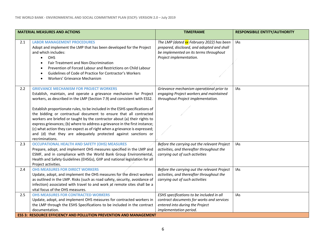| <b>MATERIAL MEASURES AND ACTIONS</b> |                                                                                                                                                                                                                                                                                                                                                                                                                                                                                                                                                                                                                                                                                      | <b>TIMEFRAME</b>                                                                                                                                             | <b>RESPONSIBILE ENTITY/AUTHORITY</b> |
|--------------------------------------|--------------------------------------------------------------------------------------------------------------------------------------------------------------------------------------------------------------------------------------------------------------------------------------------------------------------------------------------------------------------------------------------------------------------------------------------------------------------------------------------------------------------------------------------------------------------------------------------------------------------------------------------------------------------------------------|--------------------------------------------------------------------------------------------------------------------------------------------------------------|--------------------------------------|
| 2.1                                  | <b>LABOR MANAGEMENT PROCEDURES</b><br>Adopt and implement the LMP that has been developed for the Project<br>and which includes:<br>OHS<br>$\bullet$<br>Fair Treatment and Non-Discrimination<br>$\bullet$<br>Prevention of Forced Labour and Restrictions on Child Labour<br>$\bullet$<br>Guidelines of Code of Practice for Contractor's Workers<br>$\bullet$<br>Workers' Grievance Mechanism                                                                                                                                                                                                                                                                                      | The LMP (dated xx February 2022) has been<br>prepared, disclosed, and adopted and shall<br>be implemented on its terms throughout<br>Project implementation. | IAs                                  |
| 2.2                                  | <b>GRIEVANCE MECHANISM FOR PROJECT WORKERS</b><br>Establish, maintain, and operate a grievance mechanism for Project<br>workers, as described in the LMP (Section 7.9) and consistent with ESS2.<br>Establish proportionate rules, to be included in the ESHS specifications of<br>the bidding or contractual document to ensure that all contracted<br>workers are briefed or taught by the contractor about (a) their rights to<br>express grievances; (b) where to address a grievance in the first instance;<br>(c) what action they can expect as of right when a grievance is expressed;<br>and (d) that they are adequately protected against sanctions or<br>recriminations. | Grievance mechanism operational prior to<br>engaging Project workers and maintained<br>throughout Project implementation.                                    | <b>IAs</b>                           |
| 2.3                                  | <b>OCCUPATIONAL HEALTH AND SAFETY (OHS) MEASURES</b><br>Prepare, adopt, and implement OHS measures specified in the LMP and<br>ESMF, and in compliance with the World Bank Group Environmental,<br>Health and Safety Guidelines (EHSGs), GIIP and national legislation for all<br>Project activities.                                                                                                                                                                                                                                                                                                                                                                                | Before the carrying out the relevant Project<br>activities, and thereafter throughout the<br>carrying out of such activities                                 | IAs                                  |
| 2.4                                  | <b>OHS MEASURES FOR DIRECT WORKERS</b><br>Update, adopt, and implement the OHS measures for the direct workers<br>as outlined in the LMP. Risks (such as road safety, security, avoidance of<br>infection) associated with travel to and work at remote sites shall be a<br>vital focus of the OHS measures.                                                                                                                                                                                                                                                                                                                                                                         | Before the carrying out the relevant Project<br>activities, and thereafter throughout the<br>carrying out of such activities                                 | IAs                                  |
| 2.5                                  | <b>OHS MEASURES FOR CONTRACTED WORKERS</b><br>Update, adopt, and implement OHS measures for contracted workers in<br>the LMP through the ESHS Specifications to be included in the contract<br>documentation.<br><b>ESS 3: RESOURCE EFFICIENCY AND POLLUTION PREVENTION AND MANAGEMENT</b>                                                                                                                                                                                                                                                                                                                                                                                           | ESHS specifications to be included in all<br>contract documents for works and services<br>entered into during the Project<br>implementation period.          | <b>IAs</b>                           |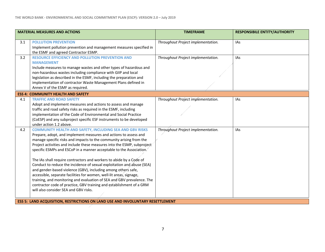| <b>POLLUTION PREVENTION</b><br>Throughout Project implementation.<br>3.1<br><b>IAs</b><br>Implement pollution prevention and management measures specified in<br>the ESMF and agreed Contractor ESMP.<br><b>RESOURCE EFFICIENCY AND POLLUTION PREVENTION AND</b><br>3.2<br>Throughout Project implementation.<br><b>IAs</b>                                                                                                                                                                                                                                                                                                                                                                                                                                                                                                                                                                                 |  |
|-------------------------------------------------------------------------------------------------------------------------------------------------------------------------------------------------------------------------------------------------------------------------------------------------------------------------------------------------------------------------------------------------------------------------------------------------------------------------------------------------------------------------------------------------------------------------------------------------------------------------------------------------------------------------------------------------------------------------------------------------------------------------------------------------------------------------------------------------------------------------------------------------------------|--|
|                                                                                                                                                                                                                                                                                                                                                                                                                                                                                                                                                                                                                                                                                                                                                                                                                                                                                                             |  |
| <b>MANAGEMENT</b><br>Include measures to manage wastes and other types of hazardous and<br>non-hazardous wastes including compliance with GIIP and local<br>legislation as described in the ESMF, including the preparation and<br>implementation of contractor Waste Management Plans defined in<br>Annex V of the ESMF as required.                                                                                                                                                                                                                                                                                                                                                                                                                                                                                                                                                                       |  |
| <b>ESS 4: COMMUNITY HEALTH AND SAFETY</b>                                                                                                                                                                                                                                                                                                                                                                                                                                                                                                                                                                                                                                                                                                                                                                                                                                                                   |  |
| 4.1<br><b>TRAFFIC AND ROAD SAFETY</b><br>Throughout Project implementation.<br><b>IAs</b><br>Adopt and implement measures and actions to assess and manage<br>traffic and road safety risks as required in the ESMF, including<br>implementation of the Code of Environmental and Social Practice<br>(CoESP) and any subproject specific ESF instruments to be developed<br>under action 1.2 above.                                                                                                                                                                                                                                                                                                                                                                                                                                                                                                         |  |
| <b>COMMUNITY HEALTH AND SAFETY, INCLUDING SEA AND GBV RISKS</b><br>Throughout Project implementation.<br>4.2<br><b>IAs</b><br>Prepare, adopt, and implement measures and actions to assess and<br>manage specific risks and impacts to the community arising from the<br>Project activities and include these measures into the ESMP, subproject<br>specific ESMPs and ESCoP in a manner acceptable to the Association.<br>The IAs shall require contractors and workers to abide by a Code of<br>Conduct to reduce the incidence of sexual exploitation and abuse (SEA)<br>and gender-based violence (GBV), including among others safe,<br>accessible, separate facilities for women, well-lit areas, signage,<br>training, and monitoring and evaluation of SEA and GBV prevalence. The<br>contractor code of practice, GBV training and establishment of a GRM<br>will also consider SEA and GBV risks. |  |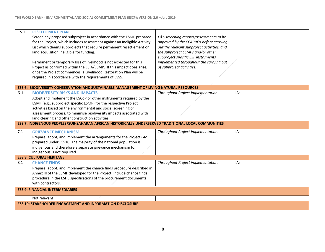| 5.1                                                                                                  | <b>RESETTLEMENT PLAN</b>                                                                       |                                             |            |  |
|------------------------------------------------------------------------------------------------------|------------------------------------------------------------------------------------------------|---------------------------------------------|------------|--|
|                                                                                                      | Screen any proposed subproject in accordance with the ESMF prepared                            | E&S screening reports/assessments to be     |            |  |
|                                                                                                      | for the Project, which includes assessment against an Ineligible Activity                      | approved by the CCARROs before carrying     |            |  |
|                                                                                                      | List which deems subprojects that require permanent resettlement or                            | out the relevant subproject activities, and |            |  |
|                                                                                                      | land acquisition ineligible for funding.                                                       | the subproject ESMPs and/or other           |            |  |
|                                                                                                      |                                                                                                | subproject specific ESF instruments         |            |  |
|                                                                                                      | Permanent or temporary loss of livelihood is not expected for this                             | implemented throughout the carrying out     |            |  |
|                                                                                                      | Project as confirmed within the ESIA/ESMP. If this impact does arise,                          | of subproject activities.                   |            |  |
|                                                                                                      | once the Project commences, a Livelihood Restoration Plan will be                              |                                             |            |  |
|                                                                                                      | required in accordance with the requirements of ESS5.                                          |                                             |            |  |
|                                                                                                      |                                                                                                |                                             |            |  |
|                                                                                                      | <b>ESS 6: BIODIVERSITY CONSERVATION AND SUSTAINABLE MANAGEMENT OF LIVING NATURAL RESOURCES</b> |                                             |            |  |
| 6.1                                                                                                  | <b>BIODIVERSITY RISKS AND IMPACTS</b>                                                          | Throughout Project implementation.          | <b>IAs</b> |  |
|                                                                                                      |                                                                                                |                                             |            |  |
|                                                                                                      | Adopt and implement the ESCoP or other instruments required by the                             |                                             |            |  |
|                                                                                                      | ESMF (e.g., subproject specific ESMP) for the respective Project                               |                                             |            |  |
|                                                                                                      | activities based on the environmental and social screening or                                  |                                             |            |  |
|                                                                                                      | assessment process, to minimise biodiversity impacts associated with                           |                                             |            |  |
|                                                                                                      | land clearing and other construction activities.                                               |                                             |            |  |
| ESS 7: INDIGENOUS PEOPLES/SUB-SAHARAN AFRICAN HISTORICALLY UNDERSERVED TRADITIONAL LOCAL COMMUNITIES |                                                                                                |                                             |            |  |
| 7.1                                                                                                  | <b>GRIEVANCE MECHANISM</b>                                                                     | Throughout Project implementation.          | IAs        |  |
|                                                                                                      | Prepare, adopt, and implement the arrangements for the Project GM                              |                                             |            |  |
|                                                                                                      | prepared under ESS10. The majority of the national population is                               |                                             |            |  |
|                                                                                                      | indigenous and therefore a separate grievance mechanism for                                    |                                             |            |  |
|                                                                                                      | indigenous is not required.                                                                    |                                             |            |  |
|                                                                                                      | <b>ESS 8: CULTURAL HERITAGE</b>                                                                |                                             |            |  |
| 8.1                                                                                                  | <b>CHANCE FINDS</b>                                                                            | Throughout Project implementation.          | IAs        |  |
|                                                                                                      | Prepare, adopt, and implement the chance finds procedure described in                          |                                             |            |  |
|                                                                                                      | Annex III of the ESMF developed for the Project. Include chance finds                          |                                             |            |  |
|                                                                                                      | procedure in the ESHS specifications of the procurement documents                              |                                             |            |  |
|                                                                                                      | with contractors.                                                                              |                                             |            |  |
|                                                                                                      |                                                                                                |                                             |            |  |
|                                                                                                      | <b>ESS 9: FINANCIAL INTERMEDIARIES</b>                                                         |                                             |            |  |
|                                                                                                      | Not relevant                                                                                   |                                             |            |  |
|                                                                                                      | <b>ESS 10: STAKEHOLDER ENGAGEMENT AND INFORMATION DISCLOSURE</b>                               |                                             |            |  |
|                                                                                                      |                                                                                                |                                             |            |  |